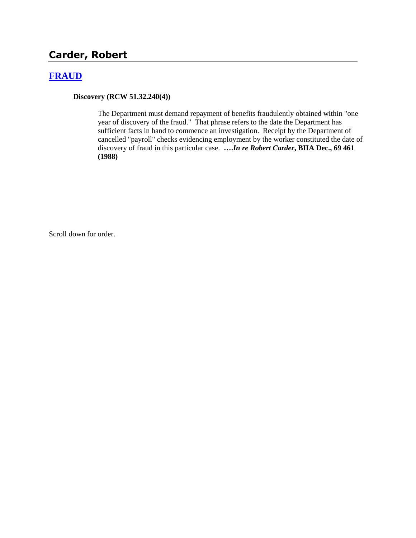# **Carder, Robert**

### **[FRAUD](http://www.biia.wa.gov/SDSubjectIndex.html#FRAUD)**

**Discovery (RCW 51.32.240(4))**

The Department must demand repayment of benefits fraudulently obtained within "one year of discovery of the fraud." That phrase refers to the date the Department has sufficient facts in hand to commence an investigation. Receipt by the Department of cancelled "payroll" checks evidencing employment by the worker constituted the date of discovery of fraud in this particular case. **….***In re Robert Carder***, BIIA Dec., 69 461 (1988)** 

Scroll down for order.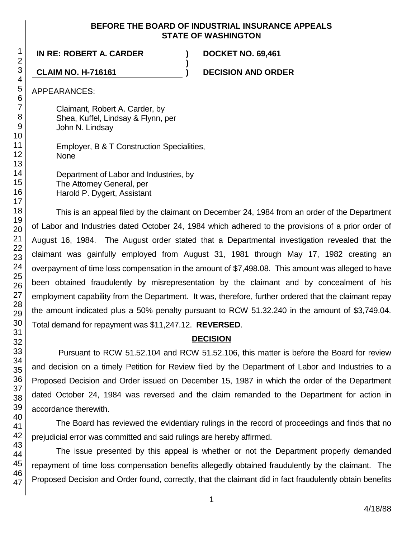### **BEFORE THE BOARD OF INDUSTRIAL INSURANCE APPEALS STATE OF WASHINGTON**

**)**

**IN RE: ROBERT A. CARDER ) DOCKET NO. 69,461**

**CLAIM NO. H-716161 ) DECISION AND ORDER**

APPEARANCES:

Claimant, Robert A. Carder, by Shea, Kuffel, Lindsay & Flynn, per John N. Lindsay

Employer, B & T Construction Specialities, None

Department of Labor and Industries, by The Attorney General, per Harold P. Dygert, Assistant

This is an appeal filed by the claimant on December 24, 1984 from an order of the Department of Labor and Industries dated October 24, 1984 which adhered to the provisions of a prior order of August 16, 1984. The August order stated that a Departmental investigation revealed that the claimant was gainfully employed from August 31, 1981 through May 17, 1982 creating an overpayment of time loss compensation in the amount of \$7,498.08. This amount was alleged to have been obtained fraudulently by misrepresentation by the claimant and by concealment of his employment capability from the Department. It was, therefore, further ordered that the claimant repay the amount indicated plus a 50% penalty pursuant to RCW 51.32.240 in the amount of \$3,749.04. Total demand for repayment was \$11,247.12. **REVERSED**.

## **DECISION**

Pursuant to RCW 51.52.104 and RCW 51.52.106, this matter is before the Board for review and decision on a timely Petition for Review filed by the Department of Labor and Industries to a Proposed Decision and Order issued on December 15, 1987 in which the order of the Department dated October 24, 1984 was reversed and the claim remanded to the Department for action in accordance therewith.

The Board has reviewed the evidentiary rulings in the record of proceedings and finds that no prejudicial error was committed and said rulings are hereby affirmed.

The issue presented by this appeal is whether or not the Department properly demanded repayment of time loss compensation benefits allegedly obtained fraudulently by the claimant. The Proposed Decision and Order found, correctly, that the claimant did in fact fraudulently obtain benefits

1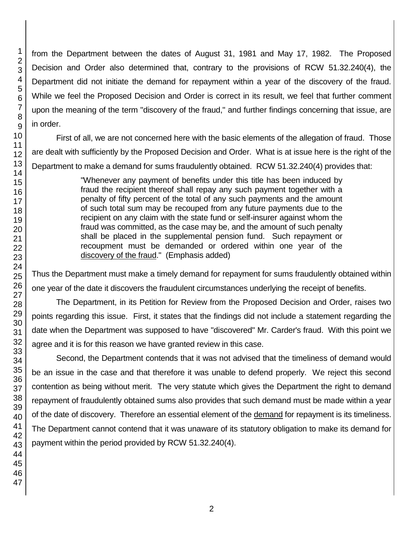from the Department between the dates of August 31, 1981 and May 17, 1982. The Proposed Decision and Order also determined that, contrary to the provisions of RCW 51.32.240(4), the Department did not initiate the demand for repayment within a year of the discovery of the fraud. While we feel the Proposed Decision and Order is correct in its result, we feel that further comment upon the meaning of the term "discovery of the fraud," and further findings concerning that issue, are in order.

First of all, we are not concerned here with the basic elements of the allegation of fraud. Those are dealt with sufficiently by the Proposed Decision and Order. What is at issue here is the right of the Department to make a demand for sums fraudulently obtained. RCW 51.32.240(4) provides that:

> "Whenever any payment of benefits under this title has been induced by fraud the recipient thereof shall repay any such payment together with a penalty of fifty percent of the total of any such payments and the amount of such total sum may be recouped from any future payments due to the recipient on any claim with the state fund or self-insurer against whom the fraud was committed, as the case may be, and the amount of such penalty shall be placed in the supplemental pension fund. Such repayment or recoupment must be demanded or ordered within one year of the discovery of the fraud." (Emphasis added)

Thus the Department must make a timely demand for repayment for sums fraudulently obtained within one year of the date it discovers the fraudulent circumstances underlying the receipt of benefits.

The Department, in its Petition for Review from the Proposed Decision and Order, raises two points regarding this issue. First, it states that the findings did not include a statement regarding the date when the Department was supposed to have "discovered" Mr. Carder's fraud. With this point we agree and it is for this reason we have granted review in this case.

Second, the Department contends that it was not advised that the timeliness of demand would be an issue in the case and that therefore it was unable to defend properly. We reject this second contention as being without merit. The very statute which gives the Department the right to demand repayment of fraudulently obtained sums also provides that such demand must be made within a year of the date of discovery. Therefore an essential element of the demand for repayment is its timeliness. The Department cannot contend that it was unaware of its statutory obligation to make its demand for payment within the period provided by RCW 51.32.240(4).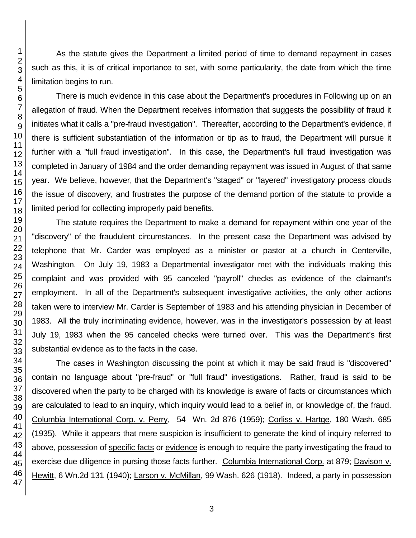As the statute gives the Department a limited period of time to demand repayment in cases such as this, it is of critical importance to set, with some particularity, the date from which the time limitation begins to run.

There is much evidence in this case about the Department's procedures in Following up on an allegation of fraud. When the Department receives information that suggests the possibility of fraud it initiates what it calls a "pre-fraud investigation". Thereafter, according to the Department's evidence, if there is sufficient substantiation of the information or tip as to fraud, the Department will pursue it further with a "full fraud investigation". In this case, the Department's full fraud investigation was completed in January of 1984 and the order demanding repayment was issued in August of that same year. We believe, however, that the Department's "staged" or "layered" investigatory process clouds the issue of discovery, and frustrates the purpose of the demand portion of the statute to provide a limited period for collecting improperly paid benefits.

The statute requires the Department to make a demand for repayment within one year of the "discovery" of the fraudulent circumstances. In the present case the Department was advised by telephone that Mr. Carder was employed as a minister or pastor at a church in Centerville, Washington. On July 19, 1983 a Departmental investigator met with the individuals making this complaint and was provided with 95 canceled "payroll" checks as evidence of the claimant's employment. In all of the Department's subsequent investigative activities, the only other actions taken were to interview Mr. Carder is September of 1983 and his attending physician in December of 1983. All the truly incriminating evidence, however, was in the investigator's possession by at least July 19, 1983 when the 95 canceled checks were turned over. This was the Department's first substantial evidence as to the facts in the case.

The cases in Washington discussing the point at which it may be said fraud is "discovered" contain no language about "pre-fraud" or "full fraud" investigations. Rather, fraud is said to be discovered when the party to be charged with its knowledge is aware of facts or circumstances which are calculated to lead to an inquiry, which inquiry would lead to a belief in, or knowledge of, the fraud. Columbia International Corp. v. Perry, 54 Wn. 2d 876 (1959); Corliss v. Hartge, 180 Wash. 685 (1935). While it appears that mere suspicion is insufficient to generate the kind of inquiry referred to above, possession of specific facts or evidence is enough to require the party investigating the fraud to exercise due diligence in pursing those facts further. Columbia International Corp. at 879; Davison v. Hewitt, 6 Wn.2d 131 (1940); Larson v. McMillan, 99 Wash. 626 (1918). Indeed, a party in possession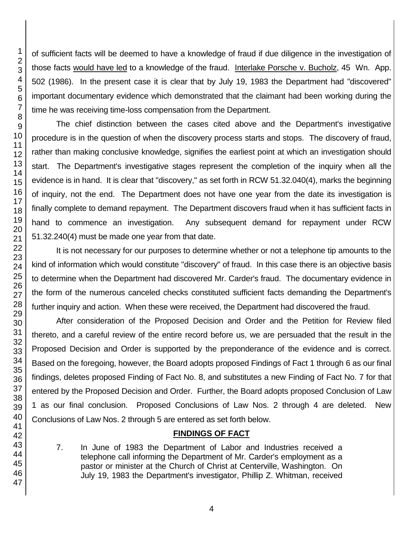of sufficient facts will be deemed to have a knowledge of fraud if due diligence in the investigation of those facts would have led to a knowledge of the fraud. Interlake Porsche v. Bucholz, 45 Wn. App. 502 (1986). In the present case it is clear that by July 19, 1983 the Department had "discovered" important documentary evidence which demonstrated that the claimant had been working during the time he was receiving time-loss compensation from the Department.

The chief distinction between the cases cited above and the Department's investigative procedure is in the question of when the discovery process starts and stops. The discovery of fraud, rather than making conclusive knowledge, signifies the earliest point at which an investigation should start. The Department's investigative stages represent the completion of the inquiry when all the evidence is in hand. It is clear that "discovery," as set forth in RCW 51.32.040(4), marks the beginning of inquiry, not the end. The Department does not have one year from the date its investigation is finally complete to demand repayment. The Department discovers fraud when it has sufficient facts in hand to commence an investigation. Any subsequent demand for repayment under RCW 51.32.240(4) must be made one year from that date.

It is not necessary for our purposes to determine whether or not a telephone tip amounts to the kind of information which would constitute "discovery" of fraud. In this case there is an objective basis to determine when the Department had discovered Mr. Carder's fraud. The documentary evidence in the form of the numerous canceled checks constituted sufficient facts demanding the Department's further inquiry and action. When these were received, the Department had discovered the fraud.

After consideration of the Proposed Decision and Order and the Petition for Review filed thereto, and a careful review of the entire record before us, we are persuaded that the result in the Proposed Decision and Order is supported by the preponderance of the evidence and is correct. Based on the foregoing, however, the Board adopts proposed Findings of Fact 1 through 6 as our final findings, deletes proposed Finding of Fact No. 8, and substitutes a new Finding of Fact No. 7 for that entered by the Proposed Decision and Order. Further, the Board adopts proposed Conclusion of Law 1 as our final conclusion. Proposed Conclusions of Law Nos. 2 through 4 are deleted. New Conclusions of Law Nos. 2 through 5 are entered as set forth below.

## **FINDINGS OF FACT**

7. In June of 1983 the Department of Labor and Industries received a telephone call informing the Department of Mr. Carder's employment as a pastor or minister at the Church of Christ at Centerville, Washington. On July 19, 1983 the Department's investigator, Phillip Z. Whitman, received